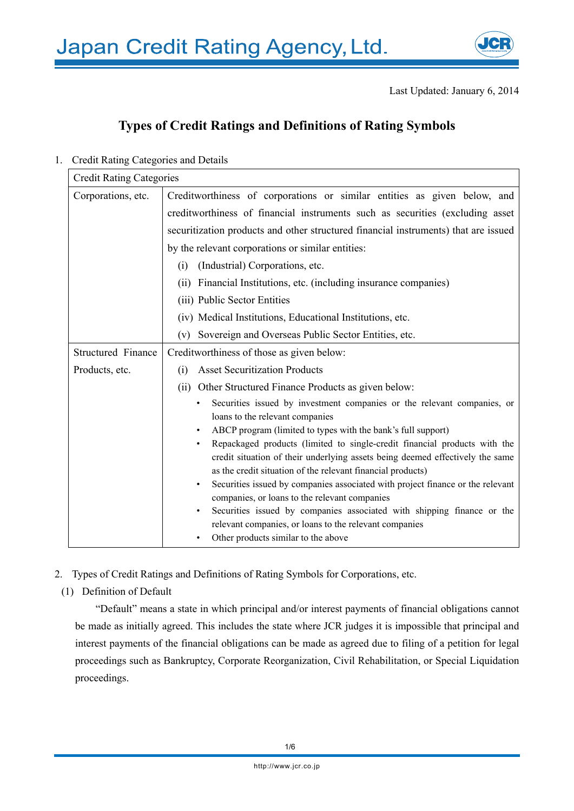

# **Types of Credit Ratings and Definitions of Rating Symbols**

1. Credit Rating Categories and Details

| <b>Credit Rating Categories</b> |                                                                                                                                      |  |
|---------------------------------|--------------------------------------------------------------------------------------------------------------------------------------|--|
| Corporations, etc.              | Creditworthiness of corporations or similar entities as given below, and                                                             |  |
|                                 | creditworthiness of financial instruments such as securities (excluding asset                                                        |  |
|                                 | securitization products and other structured financial instruments) that are issued                                                  |  |
|                                 | by the relevant corporations or similar entities:                                                                                    |  |
|                                 | (Industrial) Corporations, etc.<br>(i)                                                                                               |  |
|                                 | (ii) Financial Institutions, etc. (including insurance companies)                                                                    |  |
|                                 | (iii) Public Sector Entities                                                                                                         |  |
|                                 | (iv) Medical Institutions, Educational Institutions, etc.                                                                            |  |
|                                 | Sovereign and Overseas Public Sector Entities, etc.<br>(v)                                                                           |  |
| <b>Structured Finance</b>       | Creditworthiness of those as given below:                                                                                            |  |
| Products, etc.                  | <b>Asset Securitization Products</b><br>(i)                                                                                          |  |
|                                 | (ii) Other Structured Finance Products as given below:                                                                               |  |
|                                 | Securities issued by investment companies or the relevant companies, or                                                              |  |
|                                 | loans to the relevant companies                                                                                                      |  |
|                                 | ABCP program (limited to types with the bank's full support)<br>$\bullet$                                                            |  |
|                                 | Repackaged products (limited to single-credit financial products with the<br>$\bullet$                                               |  |
|                                 | credit situation of their underlying assets being deemed effectively the same                                                        |  |
|                                 | as the credit situation of the relevant financial products)                                                                          |  |
|                                 | Securities issued by companies associated with project finance or the relevant<br>$\bullet$                                          |  |
|                                 | companies, or loans to the relevant companies<br>Securities issued by companies associated with shipping finance or the<br>$\bullet$ |  |
|                                 | relevant companies, or loans to the relevant companies                                                                               |  |
|                                 | Other products similar to the above                                                                                                  |  |
|                                 |                                                                                                                                      |  |

- 2. Types of Credit Ratings and Definitions of Rating Symbols for Corporations, etc.
- (1) Definition of Default

"Default" means a state in which principal and/or interest payments of financial obligations cannot be made as initially agreed. This includes the state where JCR judges it is impossible that principal and interest payments of the financial obligations can be made as agreed due to filing of a petition for legal proceedings such as Bankruptcy, Corporate Reorganization, Civil Rehabilitation, or Special Liquidation proceedings.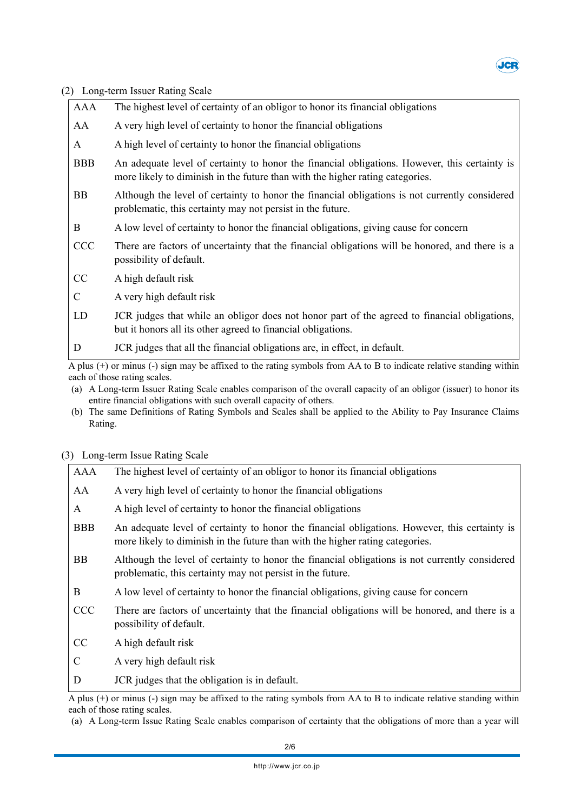

(2) Long-term Issuer Rating Scale

| AAA                                                                                                                                                                                                                                                                       | The highest level of certainty of an obligor to honor its financial obligations                                                                                                |
|---------------------------------------------------------------------------------------------------------------------------------------------------------------------------------------------------------------------------------------------------------------------------|--------------------------------------------------------------------------------------------------------------------------------------------------------------------------------|
| AA                                                                                                                                                                                                                                                                        | A very high level of certainty to honor the financial obligations                                                                                                              |
| A                                                                                                                                                                                                                                                                         | A high level of certainty to honor the financial obligations                                                                                                                   |
| <b>BBB</b>                                                                                                                                                                                                                                                                | An adequate level of certainty to honor the financial obligations. However, this certainty is<br>more likely to diminish in the future than with the higher rating categories. |
| BB                                                                                                                                                                                                                                                                        | Although the level of certainty to honor the financial obligations is not currently considered<br>problematic, this certainty may not persist in the future.                   |
| B                                                                                                                                                                                                                                                                         | A low level of certainty to honor the financial obligations, giving cause for concern                                                                                          |
| <b>CCC</b>                                                                                                                                                                                                                                                                | There are factors of uncertainty that the financial obligations will be honored, and there is a<br>possibility of default.                                                     |
| CC                                                                                                                                                                                                                                                                        | A high default risk                                                                                                                                                            |
| C                                                                                                                                                                                                                                                                         | A very high default risk                                                                                                                                                       |
| LD                                                                                                                                                                                                                                                                        | JCR judges that while an obligor does not honor part of the agreed to financial obligations,<br>but it honors all its other agreed to financial obligations.                   |
| D                                                                                                                                                                                                                                                                         | JCR judges that all the financial obligations are, in effect, in default.                                                                                                      |
| A plus (+) or minus (-) sign may be affixed to the rating symbols from AA to B to indicate relative standing within<br>each of those rating scales.<br>(a) A Long-term Issuer Rating Scale enables comparison of the overall capacity of an obligor (issuer) to honor its |                                                                                                                                                                                |

- (a) A Long-term Issuer Rating Scale enables comparison of the overall capacity of an obligor (issuer) to honor its entire financial obligations with such overall capacity of others.
- (b) The same Definitions of Rating Symbols and Scales shall be applied to the Ability to Pay Insurance Claims Rating.

## (3) Long-term Issue Rating Scale

| AAA           | The highest level of certainty of an obligor to honor its financial obligations                                                                                                |
|---------------|--------------------------------------------------------------------------------------------------------------------------------------------------------------------------------|
| AA            | A very high level of certainty to honor the financial obligations                                                                                                              |
| A             | A high level of certainty to honor the financial obligations                                                                                                                   |
| <b>BBB</b>    | An adequate level of certainty to honor the financial obligations. However, this certainty is<br>more likely to diminish in the future than with the higher rating categories. |
| BB            | Although the level of certainty to honor the financial obligations is not currently considered<br>problematic, this certainty may not persist in the future.                   |
| B             | A low level of certainty to honor the financial obligations, giving cause for concern                                                                                          |
| <b>CCC</b>    | There are factors of uncertainty that the financial obligations will be honored, and there is a<br>possibility of default.                                                     |
| CC            | A high default risk                                                                                                                                                            |
| $\mathcal{C}$ | A very high default risk                                                                                                                                                       |
| D             | JCR judges that the obligation is in default.                                                                                                                                  |

A plus (+) or minus (-) sign may be affixed to the rating symbols from AA to B to indicate relative standing within each of those rating scales.

<sup>(</sup>a) A Long-term Issue Rating Scale enables comparison of certainty that the obligations of more than a year will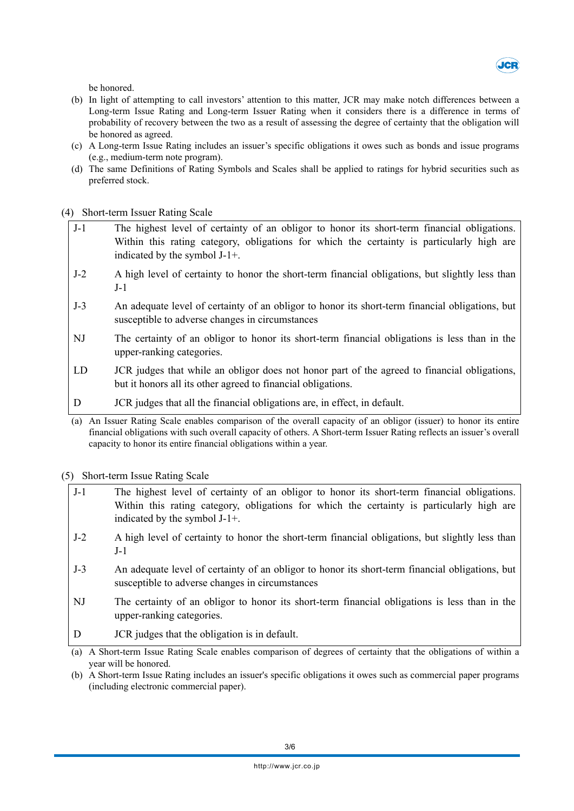

be honored.

- (b) In light of attempting to call investors' attention to this matter, JCR may make notch differences between a Long-term Issue Rating and Long-term Issuer Rating when it considers there is a difference in terms of probability of recovery between the two as a result of assessing the degree of certainty that the obligation will be honored as agreed.
- (c) A Long-term Issue Rating includes an issuer's specific obligations it owes such as bonds and issue programs (e.g., medium-term note program).
- (d) The same Definitions of Rating Symbols and Scales shall be applied to ratings for hybrid securities such as preferred stock.

(4) Short-term Issuer Rating Scale

- J-1 The highest level of certainty of an obligor to honor its short-term financial obligations. Within this rating category, obligations for which the certainty is particularly high are indicated by the symbol J-1+.
- J-2 A high level of certainty to honor the short-term financial obligations, but slightly less than J-1
- J-3 An adequate level of certainty of an obligor to honor its short-term financial obligations, but susceptible to adverse changes in circumstances
- NJ The certainty of an obligor to honor its short-term financial obligations is less than in the upper-ranking categories.
- LD JCR judges that while an obligor does not honor part of the agreed to financial obligations, but it honors all its other agreed to financial obligations.
- D JCR judges that all the financial obligations are, in effect, in default.
- (a) An Issuer Rating Scale enables comparison of the overall capacity of an obligor (issuer) to honor its entire financial obligations with such overall capacity of others. A Short-term Issuer Rating reflects an issuer's overall capacity to honor its entire financial obligations within a year.

(5) Short-term Issue Rating Scale

- J-1 The highest level of certainty of an obligor to honor its short-term financial obligations. Within this rating category, obligations for which the certainty is particularly high are indicated by the symbol J-1+.
- J-2 A high level of certainty to honor the short-term financial obligations, but slightly less than J-1
- J-3 An adequate level of certainty of an obligor to honor its short-term financial obligations, but susceptible to adverse changes in circumstances
- NJ The certainty of an obligor to honor its short-term financial obligations is less than in the upper-ranking categories.
- D **JCR** judges that the obligation is in default.
- (a) A Short-term Issue Rating Scale enables comparison of degrees of certainty that the obligations of within a year will be honored.
- (b) A Short-term Issue Rating includes an issuer's specific obligations it owes such as commercial paper programs (including electronic commercial paper).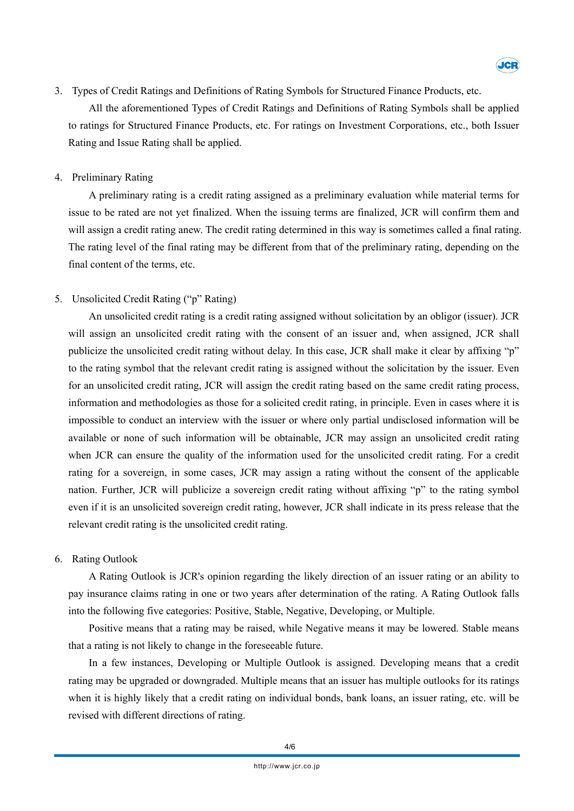

3. Types of Credit Ratings and Definitions of Rating Symbols for Structured Finance Products, etc.

All the aforementioned Types of Credit Ratings and Definitions of Rating Symbols shall be applied to ratings for Structured Finance Products, etc. For ratings on Investment Corporations, etc., both Issuer Rating and Issue Rating shall be applied.

## 4. Preliminary Rating

A preliminary rating is a credit rating assigned as a preliminary evaluation while material terms for issue to be rated are not yet finalized. When the issuing terms are finalized, JCR will confirm them and will assign a credit rating anew. The credit rating determined in this way is sometimes called a final rating. The rating level of the final rating may be different from that of the preliminary rating, depending on the final content of the terms, etc.

# 5. Unsolicited Credit Rating ("p" Rating)

An unsolicited credit rating is a credit rating assigned without solicitation by an obligor (issuer). JCR will assign an unsolicited credit rating with the consent of an issuer and, when assigned, JCR shall publicize the unsolicited credit rating without delay. In this case, JCR shall make it clear by affixing "p" to the rating symbol that the relevant credit rating is assigned without the solicitation by the issuer. Even for an unsolicited credit rating, JCR will assign the credit rating based on the same credit rating process, information and methodologies as those for a solicited credit rating, in principle. Even in cases where it is impossible to conduct an interview with the issuer or where only partial undisclosed information will be available or none of such information will be obtainable, JCR may assign an unsolicited credit rating when JCR can ensure the quality of the information used for the unsolicited credit rating. For a credit rating for a sovereign, in some cases, JCR may assign a rating without the consent of the applicable nation. Further, JCR will publicize a sovereign credit rating without affixing "p" to the rating symbol even if it is an unsolicited sovereign credit rating, however, JCR shall indicate in its press release that the relevant credit rating is the unsolicited credit rating.

## 6. Rating Outlook

A Rating Outlook is JCR's opinion regarding the likely direction of an issuer rating or an ability to pay insurance claims rating in one or two years after determination of the rating. A Rating Outlook falls into the following five categories: Positive, Stable, Negative, Developing, or Multiple.

Positive means that a rating may be raised, while Negative means it may be lowered. Stable means that a rating is not likely to change in the foreseeable future.

In a few instances, Developing or Multiple Outlook is assigned. Developing means that a credit rating may be upgraded or downgraded. Multiple means that an issuer has multiple outlooks for its ratings when it is highly likely that a credit rating on individual bonds, bank loans, an issuer rating, etc. will be revised with different directions of rating.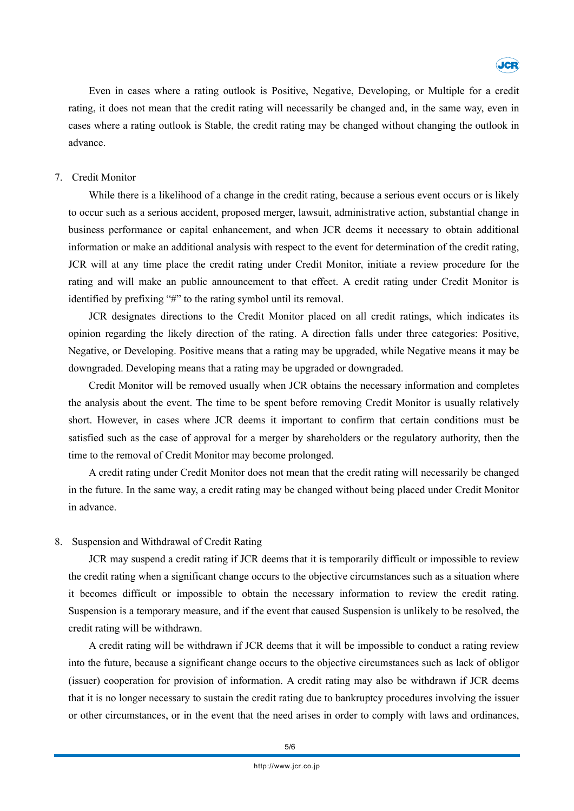

Even in cases where a rating outlook is Positive, Negative, Developing, or Multiple for a credit rating, it does not mean that the credit rating will necessarily be changed and, in the same way, even in cases where a rating outlook is Stable, the credit rating may be changed without changing the outlook in advance.

## 7. Credit Monitor

While there is a likelihood of a change in the credit rating, because a serious event occurs or is likely to occur such as a serious accident, proposed merger, lawsuit, administrative action, substantial change in business performance or capital enhancement, and when JCR deems it necessary to obtain additional information or make an additional analysis with respect to the event for determination of the credit rating, JCR will at any time place the credit rating under Credit Monitor, initiate a review procedure for the rating and will make an public announcement to that effect. A credit rating under Credit Monitor is identified by prefixing "#" to the rating symbol until its removal.

JCR designates directions to the Credit Monitor placed on all credit ratings, which indicates its opinion regarding the likely direction of the rating. A direction falls under three categories: Positive, Negative, or Developing. Positive means that a rating may be upgraded, while Negative means it may be downgraded. Developing means that a rating may be upgraded or downgraded.

Credit Monitor will be removed usually when JCR obtains the necessary information and completes the analysis about the event. The time to be spent before removing Credit Monitor is usually relatively short. However, in cases where JCR deems it important to confirm that certain conditions must be satisfied such as the case of approval for a merger by shareholders or the regulatory authority, then the time to the removal of Credit Monitor may become prolonged.

A credit rating under Credit Monitor does not mean that the credit rating will necessarily be changed in the future. In the same way, a credit rating may be changed without being placed under Credit Monitor in advance.

## 8. Suspension and Withdrawal of Credit Rating

JCR may suspend a credit rating if JCR deems that it is temporarily difficult or impossible to review the credit rating when a significant change occurs to the objective circumstances such as a situation where it becomes difficult or impossible to obtain the necessary information to review the credit rating. Suspension is a temporary measure, and if the event that caused Suspension is unlikely to be resolved, the credit rating will be withdrawn.

A credit rating will be withdrawn if JCR deems that it will be impossible to conduct a rating review into the future, because a significant change occurs to the objective circumstances such as lack of obligor (issuer) cooperation for provision of information. A credit rating may also be withdrawn if JCR deems that it is no longer necessary to sustain the credit rating due to bankruptcy procedures involving the issuer or other circumstances, or in the event that the need arises in order to comply with laws and ordinances,